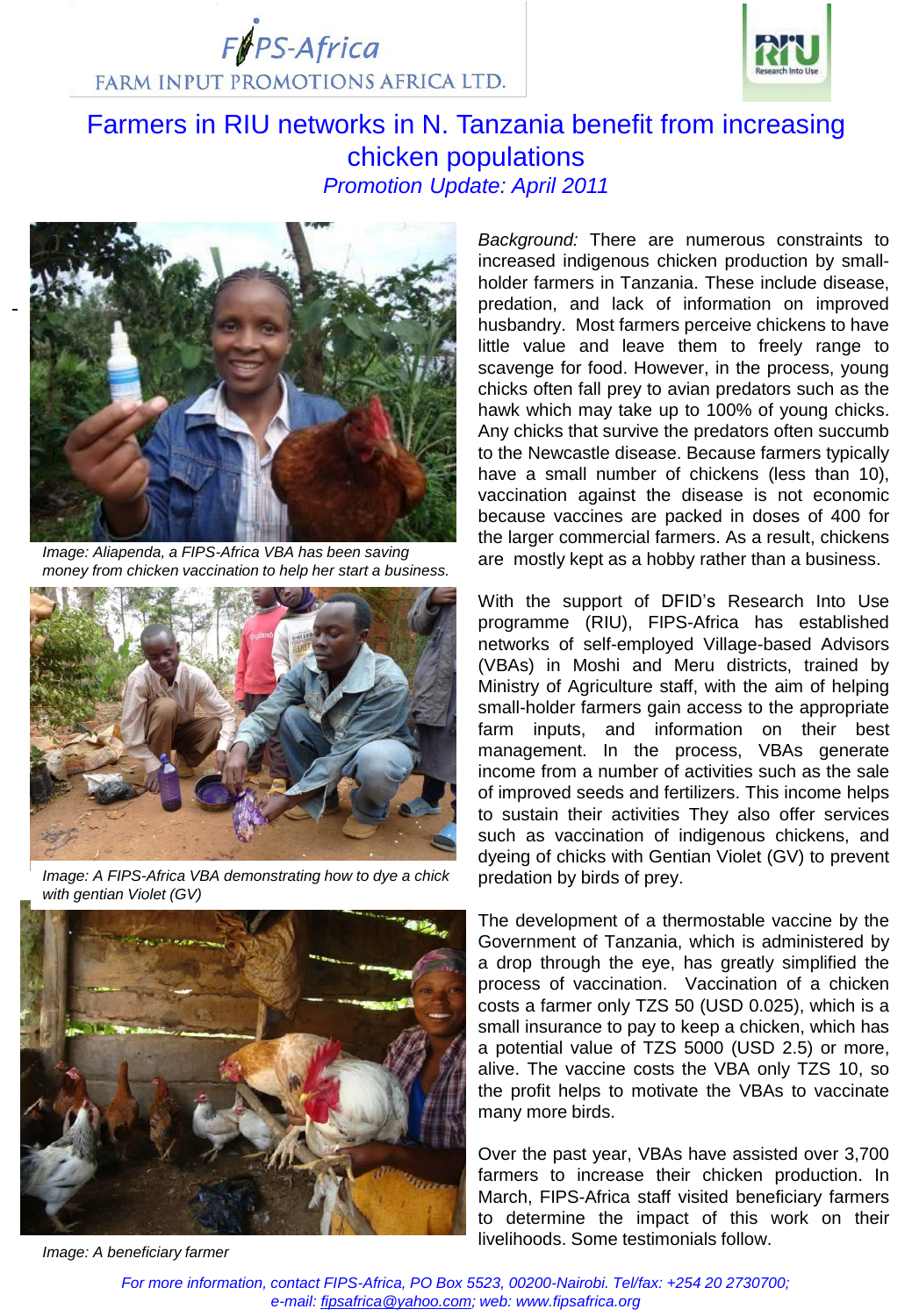$F$  $F$ PS-Africa FARM INPUT PROMOTIONS AFRICA LTD.



# Farmers in RIU networks in N. Tanzania benefit from increasing chicken populations *Promotion Update: April 2011*



*Image: Aliapenda, a FIPS-Africa VBA has been saving money from chicken vaccination to help her start a business.* 



*Image: A FIPS-Africa VBA demonstrating how to dye a chick with gentian Violet (GV)*



*Image: A beneficiary farmer*

*Background:* There are numerous constraints to increased indigenous chicken production by smallholder farmers in Tanzania. These include disease, predation, and lack of information on improved husbandry. Most farmers perceive chickens to have little value and leave them to freely range to scavenge for food. However, in the process, young chicks often fall prey to avian predators such as the hawk which may take up to 100% of young chicks. Any chicks that survive the predators often succumb to the Newcastle disease. Because farmers typically have a small number of chickens (less than 10), vaccination against the disease is not economic because vaccines are packed in doses of 400 for the larger commercial farmers. As a result, chickens are mostly kept as a hobby rather than a business.

With the support of DFID's Research Into Use programme (RIU), FIPS-Africa has established networks of self-employed Village-based Advisors (VBAs) in Moshi and Meru districts, trained by Ministry of Agriculture staff, with the aim of helping small-holder farmers gain access to the appropriate farm inputs, and information on their best management. In the process, VBAs generate income from a number of activities such as the sale of improved seeds and fertilizers. This income helps to sustain their activities They also offer services such as vaccination of indigenous chickens, and dyeing of chicks with Gentian Violet (GV) to prevent predation by birds of prey.

The development of a thermostable vaccine by the Government of Tanzania, which is administered by a drop through the eye, has greatly simplified the process of vaccination. Vaccination of a chicken costs a farmer only TZS 50 (USD 0.025), which is a small insurance to pay to keep a chicken, which has a potential value of TZS 5000 (USD 2.5) or more, alive. The vaccine costs the VBA only TZS 10, so the profit helps to motivate the VBAs to vaccinate many more birds.

Over the past year, VBAs have assisted over 3,700 farmers to increase their chicken production. In March, FIPS-Africa staff visited beneficiary farmers to determine the impact of this work on their livelihoods. Some testimonials follow.

*For more information, contact FIPS-Africa, PO Box 5523, 00200-Nairobi. Tel/fax: +254 20 2730700; e-mail: [fipsafrica@yahoo.com](mailto:fipsafrica@yahoo.com); web: www.fipsafrica.org*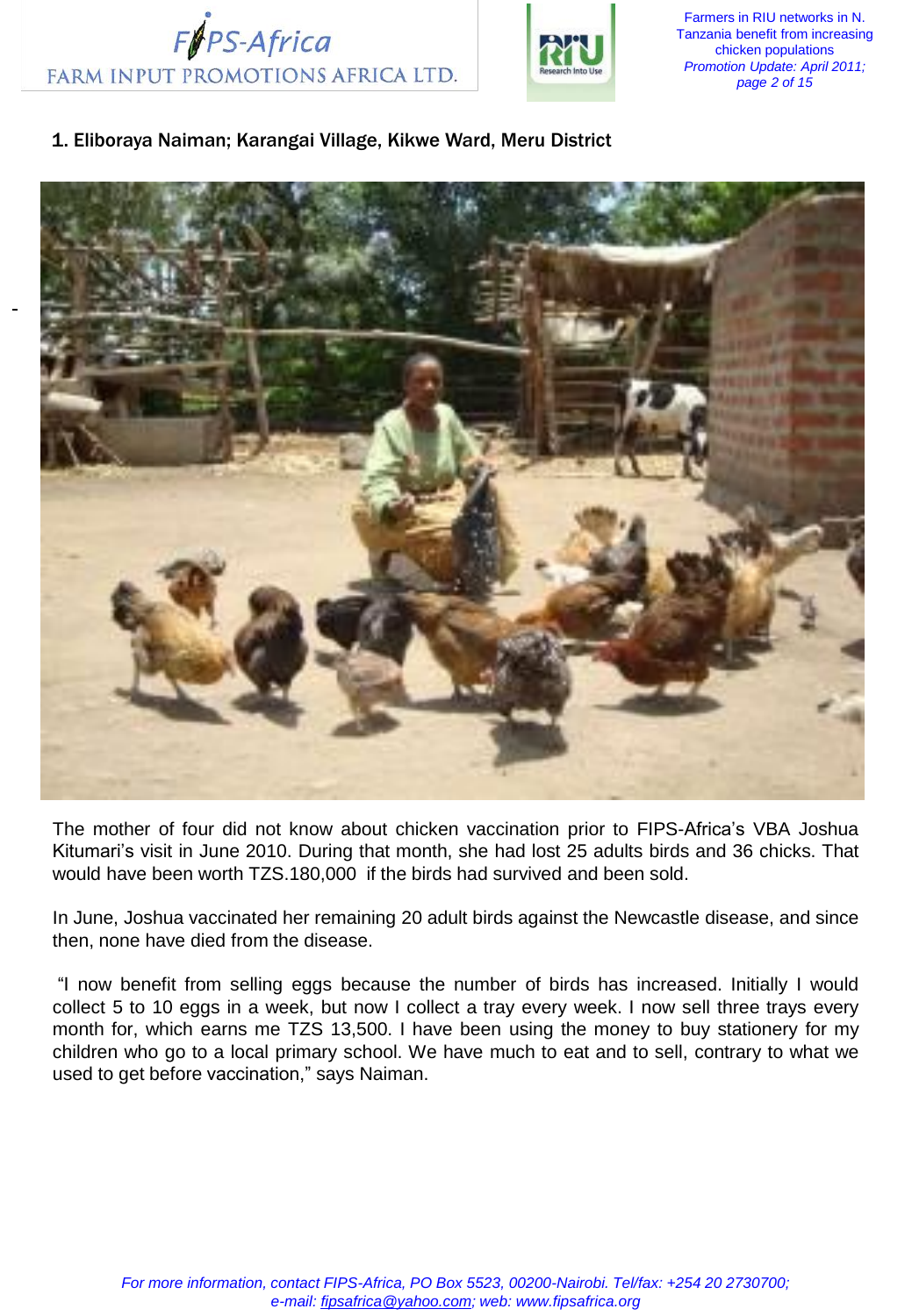



Farmers in RIU networks in N. Tanzania benefit from increasing chicken populations *Promotion Update: April 2011; page 2 of 15*

# 1. Eliboraya Naiman; Karangai Village, Kikwe Ward, Meru District



The mother of four did not know about chicken vaccination prior to FIPS-Africa's VBA Joshua Kitumari's visit in June 2010. During that month, she had lost 25 adults birds and 36 chicks. That would have been worth TZS.180,000 if the birds had survived and been sold.

In June, Joshua vaccinated her remaining 20 adult birds against the Newcastle disease, and since then, none have died from the disease.

"I now benefit from selling eggs because the number of birds has increased. Initially I would collect 5 to 10 eggs in a week, but now I collect a tray every week. I now sell three trays every month for, which earns me TZS 13,500. I have been using the money to buy stationery for my children who go to a local primary school. We have much to eat and to sell, contrary to what we used to get before vaccination," says Naiman.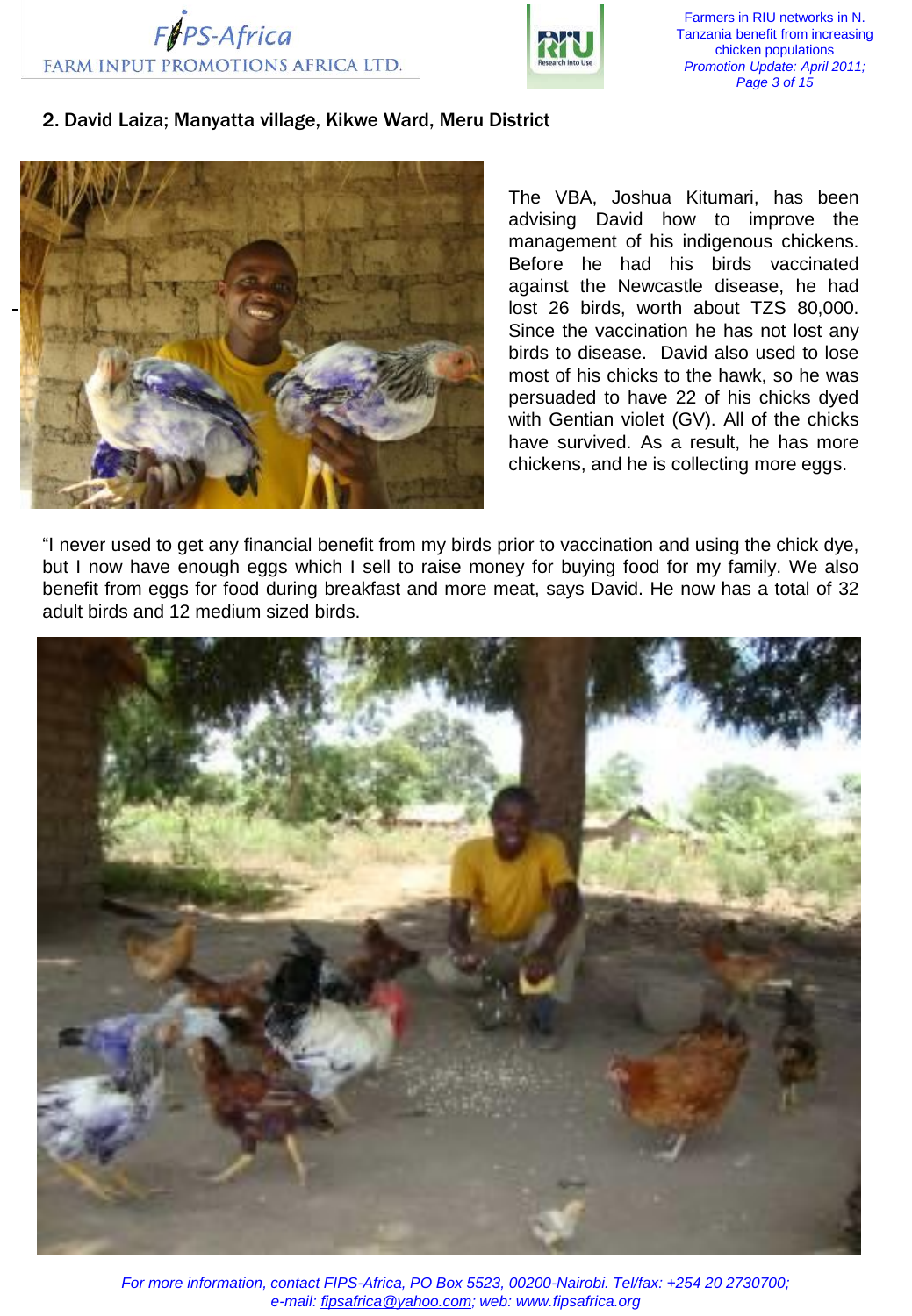



Farmers in RIU networks in N. Tanzania benefit from increasing chicken populations *Promotion Update: April 2011; Page 3 of 15*

## 2. David Laiza; Manyatta village, Kikwe Ward, Meru District



The VBA, Joshua Kitumari, has been advising David how to improve the management of his indigenous chickens. Before he had his birds vaccinated against the Newcastle disease, he had lost 26 birds, worth about TZS 80,000. Since the vaccination he has not lost any birds to disease. David also used to lose most of his chicks to the hawk, so he was persuaded to have 22 of his chicks dyed with Gentian violet (GV). All of the chicks have survived. As a result, he has more chickens, and he is collecting more eggs.

"I never used to get any financial benefit from my birds prior to vaccination and using the chick dye, but I now have enough eggs which I sell to raise money for buying food for my family. We also benefit from eggs for food during breakfast and more meat, says David. He now has a total of 32 adult birds and 12 medium sized birds.

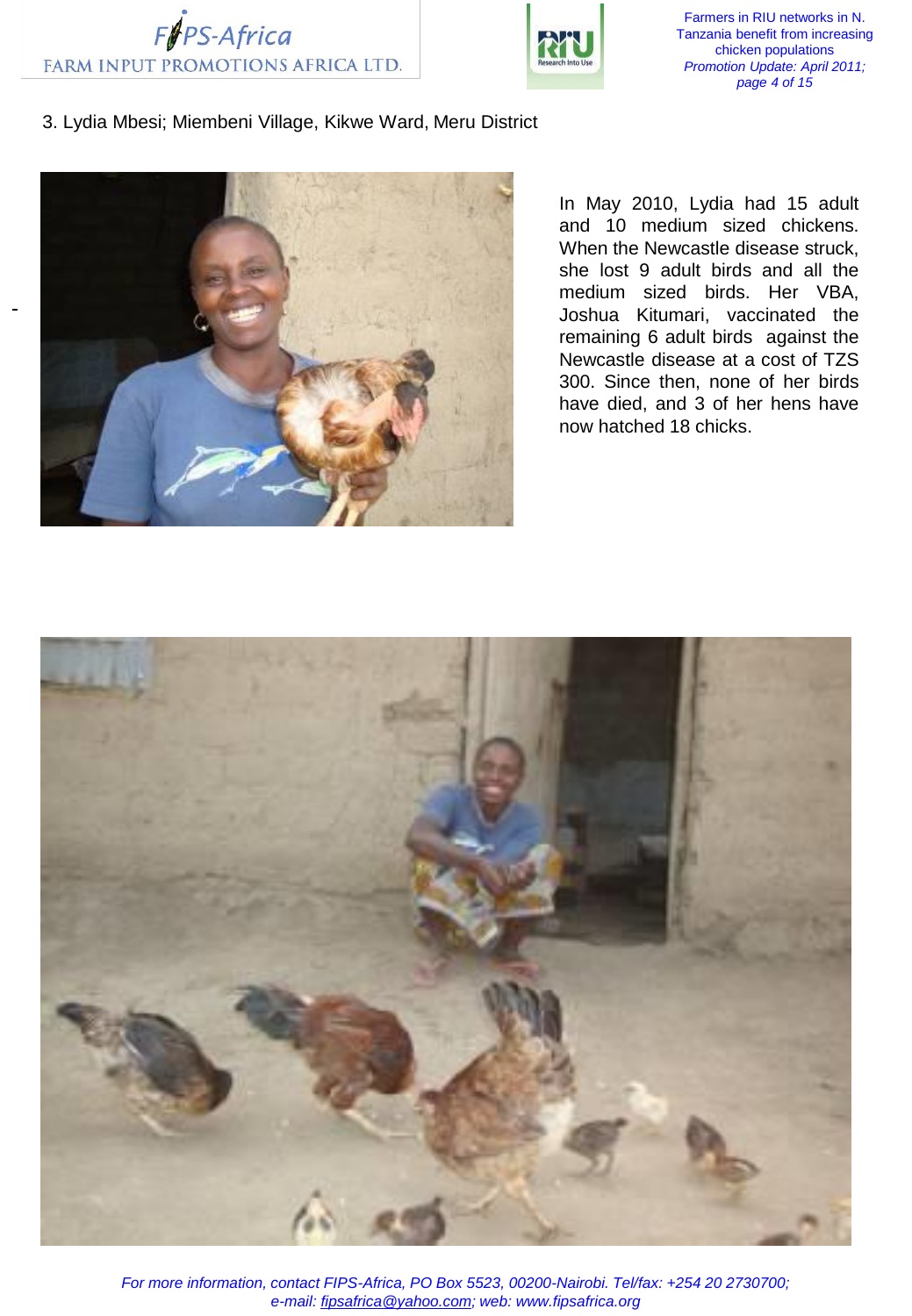



Farmers in RIU networks in N. Tanzania benefit from increasing chicken populations *Promotion Update: April 2011; page 4 of 15*

## 3. Lydia Mbesi; Miembeni Village, Kikwe Ward, Meru District



In May 2010, Lydia had 15 adult and 10 medium sized chickens. When the Newcastle disease struck, she lost 9 adult birds and all the medium sized birds. Her VBA, Joshua Kitumari, vaccinated the remaining 6 adult birds against the Newcastle disease at a cost of TZS 300. Since then, none of her birds have died, and 3 of her hens have now hatched 18 chicks.

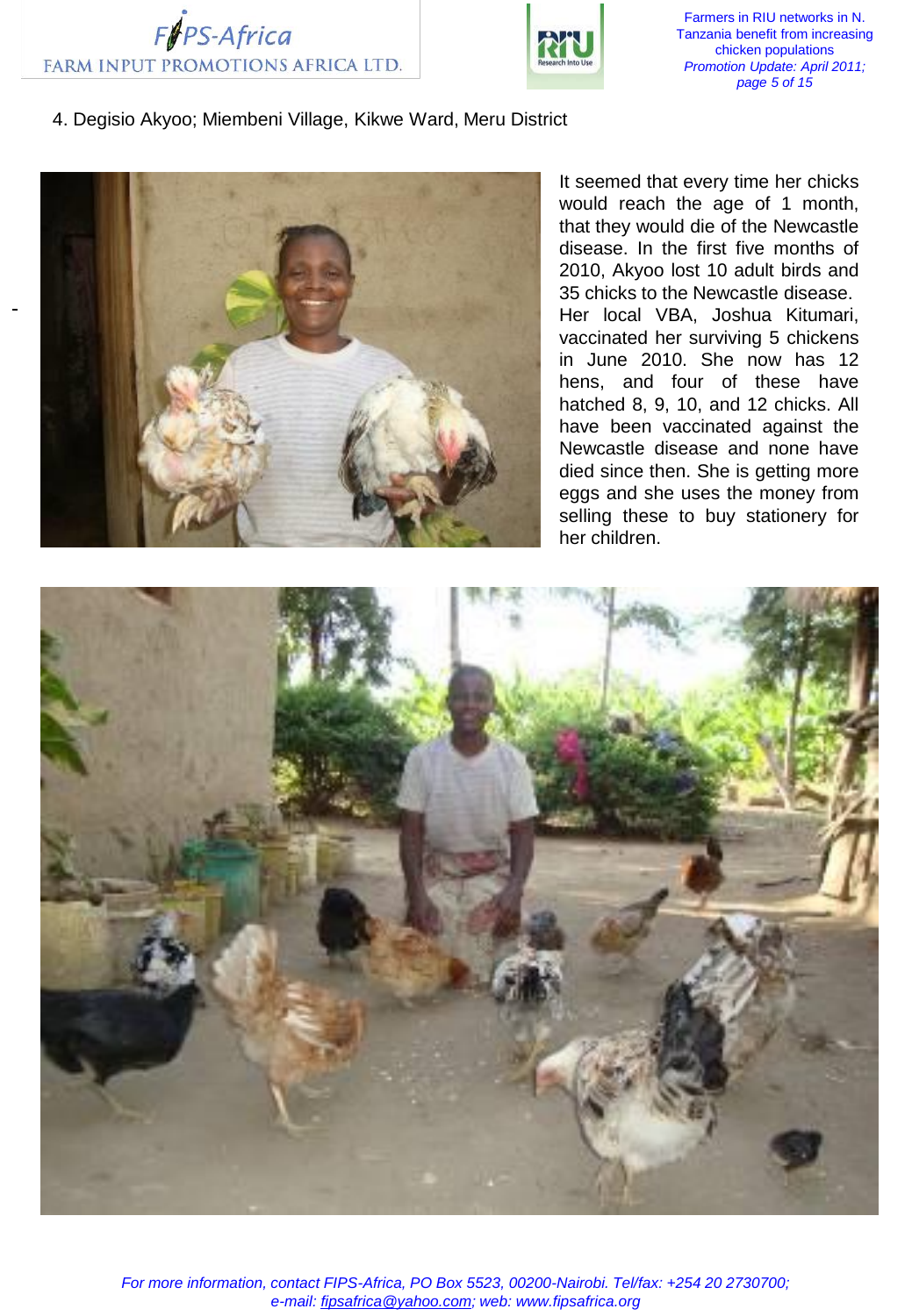



Farmers in RIU networks in N. Tanzania benefit from increasing chicken populations *Promotion Update: April 2011; page 5 of 15*

#### 4. Degisio Akyoo; Miembeni Village, Kikwe Ward, Meru District



It seemed that every time her chicks would reach the age of 1 month, that they would die of the Newcastle disease. In the first five months of 2010, Akyoo lost 10 adult birds and 35 chicks to the Newcastle disease. Her local VBA, Joshua Kitumari, vaccinated her surviving 5 chickens in June 2010. She now has 12 hens, and four of these have hatched 8, 9, 10, and 12 chicks. All have been vaccinated against the Newcastle disease and none have died since then. She is getting more eggs and she uses the money from selling these to buy stationery for her children.

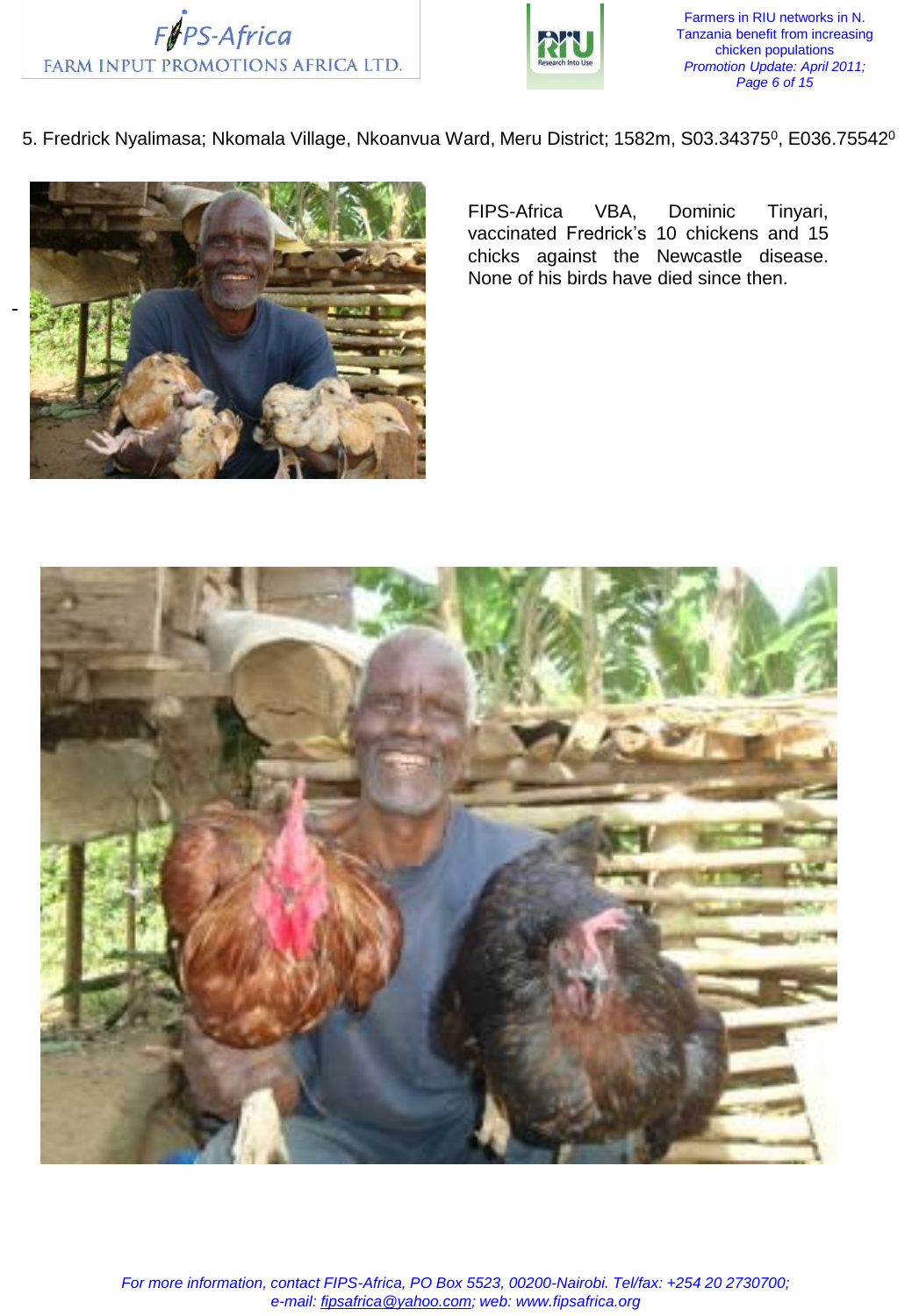



Farmers in RIU networks in N. Tanzania benefit from increasing chicken populations *Promotion Update: April 2011; Page 6 of 15*

5. Fredrick Nyalimasa; Nkomala Village, Nkoanvua Ward, Meru District; 1582m, S03.34375<sup>0</sup>, E036.75542<sup>0</sup>



FIPS-Africa VBA, Dominic Tinyari, vaccinated Fredrick's 10 chickens and 15 chicks against the Newcastle disease. None of his birds have died since then.

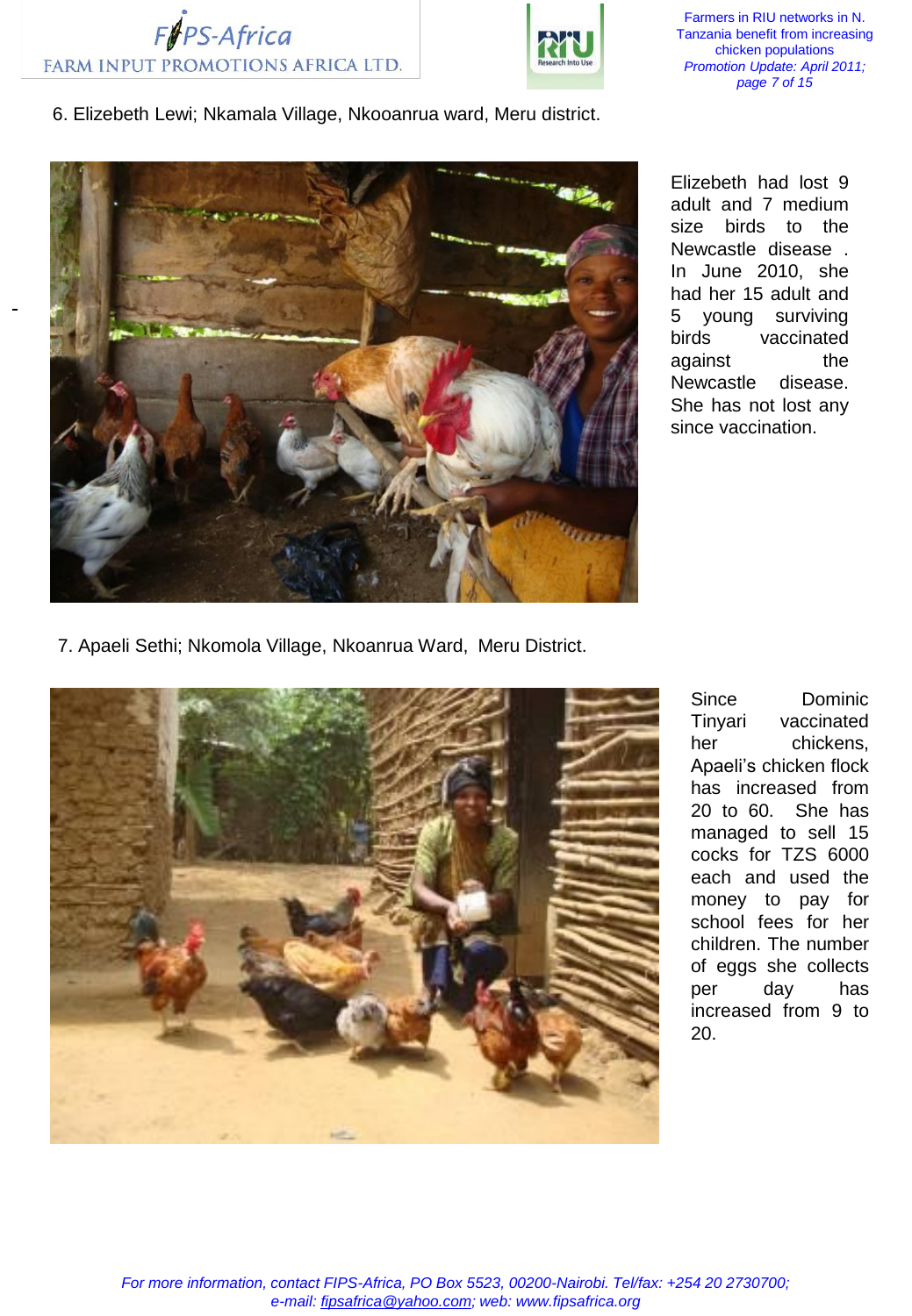



Farmers in RIU networks in N. Tanzania benefit from increasing chicken populations *Promotion Update: April 2011; page 7 of 15*

6. Elizebeth Lewi; Nkamala Village, Nkooanrua ward, Meru district.



Elizebeth had lost 9 adult and 7 medium size birds to the Newcastle disease . In June 2010, she had her 15 adult and 5 young surviving birds vaccinated against the Newcastle disease. She has not lost any since vaccination.

7. Apaeli Sethi; Nkomola Village, Nkoanrua Ward, Meru District.



Since Dominic Tinyari vaccinated her chickens, Apaeli's chicken flock has increased from 20 to 60. She has managed to sell 15 cocks for TZS 6000 each and used the money to pay for school fees for her children. The number of eggs she collects per day has increased from 9 to 20.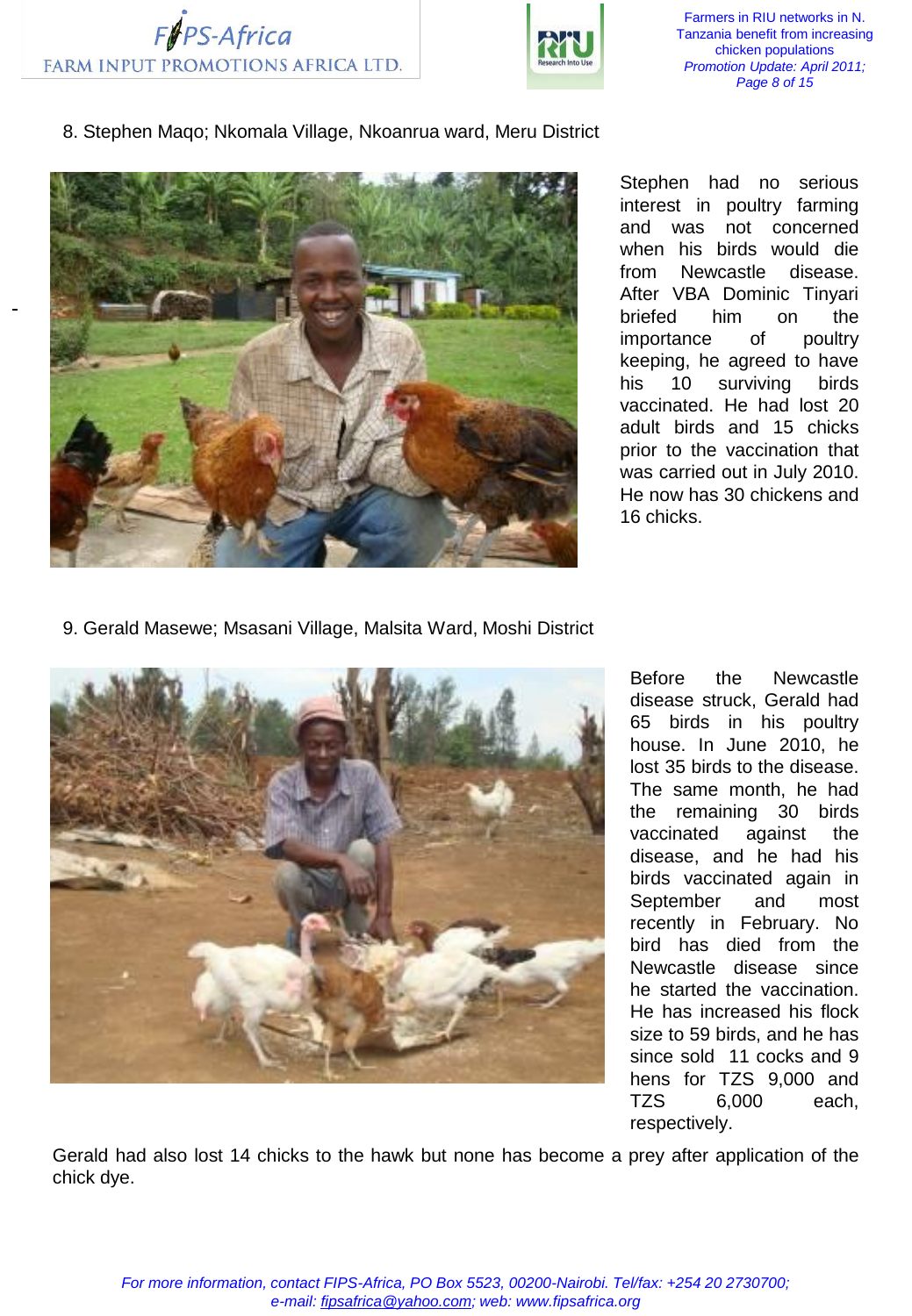



Farmers in RIU networks in N. Tanzania benefit from increasing chicken populations *Promotion Update: April 2011; Page 8 of 15*

8. Stephen Maqo; Nkomala Village, Nkoanrua ward, Meru District



Stephen had no serious interest in poultry farming and was not concerned when his birds would die from Newcastle disease. After VBA Dominic Tinyari briefed him on the importance of poultry keeping, he agreed to have his 10 surviving birds vaccinated. He had lost 20 adult birds and 15 chicks prior to the vaccination that was carried out in July 2010. He now has 30 chickens and 16 chicks.

9. Gerald Masewe; Msasani Village, Malsita Ward, Moshi District



Before the Newcastle disease struck, Gerald had 65 birds in his poultry house. In June 2010, he lost 35 birds to the disease. The same month, he had the remaining 30 birds vaccinated against the disease, and he had his birds vaccinated again in September and most recently in February. No bird has died from the Newcastle disease since he started the vaccination. He has increased his flock size to 59 birds, and he has since sold 11 cocks and 9 hens for TZS 9,000 and TZS 6,000 each, respectively.

Gerald had also lost 14 chicks to the hawk but none has become a prey after application of the chick dye.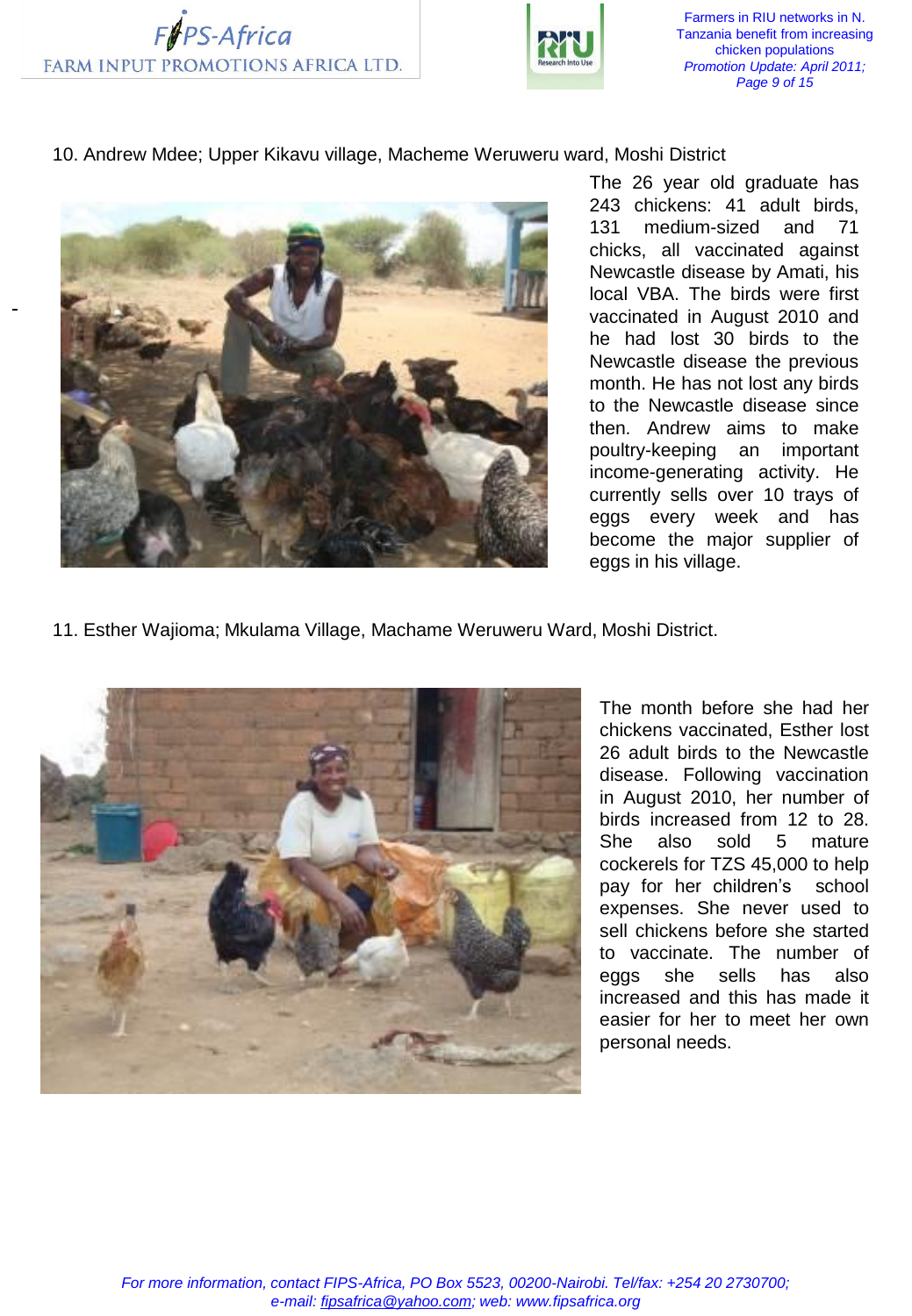



Farmers in RIU networks in N. Tanzania benefit from increasing chicken populations *Promotion Update: April 2011; Page 9 of 15*

10. Andrew Mdee; Upper Kikavu village, Macheme Weruweru ward, Moshi District



The 26 year old graduate has 243 chickens: 41 adult birds, 131 medium-sized and 71 chicks, all vaccinated against Newcastle disease by Amati, his local VBA. The birds were first vaccinated in August 2010 and he had lost 30 birds to the Newcastle disease the previous month. He has not lost any birds to the Newcastle disease since then. Andrew aims to make poultry-keeping an important income-generating activity. He currently sells over 10 trays of eggs every week and has become the major supplier of eggs in his village.

11. Esther Wajioma; Mkulama Village, Machame Weruweru Ward, Moshi District.



The month before she had her chickens vaccinated, Esther lost 26 adult birds to the Newcastle disease. Following vaccination in August 2010, her number of birds increased from 12 to 28. She also sold 5 mature cockerels for TZS 45,000 to help pay for her children's school expenses. She never used to sell chickens before she started to vaccinate. The number of eggs she sells has also increased and this has made it easier for her to meet her own personal needs.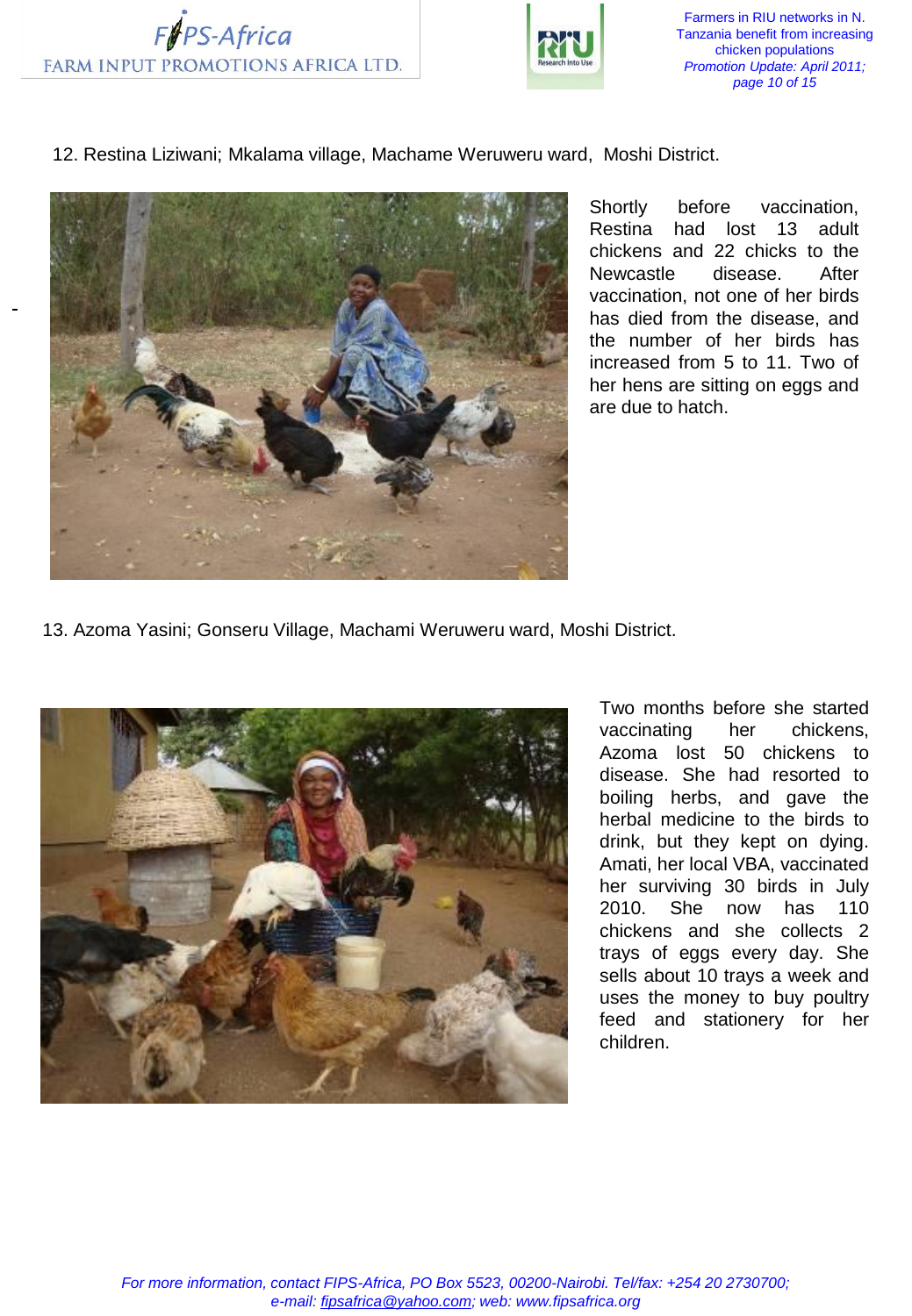



Farmers in RIU networks in N. Tanzania benefit from increasing chicken populations *Promotion Update: April 2011; page 10 of 15*

12. Restina Liziwani; Mkalama village, Machame Weruweru ward, Moshi District.



Shortly before vaccination, Restina had lost 13 adult chickens and 22 chicks to the Newcastle disease. After vaccination, not one of her birds has died from the disease, and the number of her birds has increased from 5 to 11. Two of her hens are sitting on eggs and are due to hatch.

13. Azoma Yasini; Gonseru Village, Machami Weruweru ward, Moshi District.



Two months before she started vaccinating her chickens, Azoma lost 50 chickens to disease. She had resorted to boiling herbs, and gave the herbal medicine to the birds to drink, but they kept on dying. Amati, her local VBA, vaccinated her surviving 30 birds in July 2010. She now has 110 chickens and she collects 2 trays of eggs every day. She sells about 10 trays a week and uses the money to buy poultry feed and stationery for her children.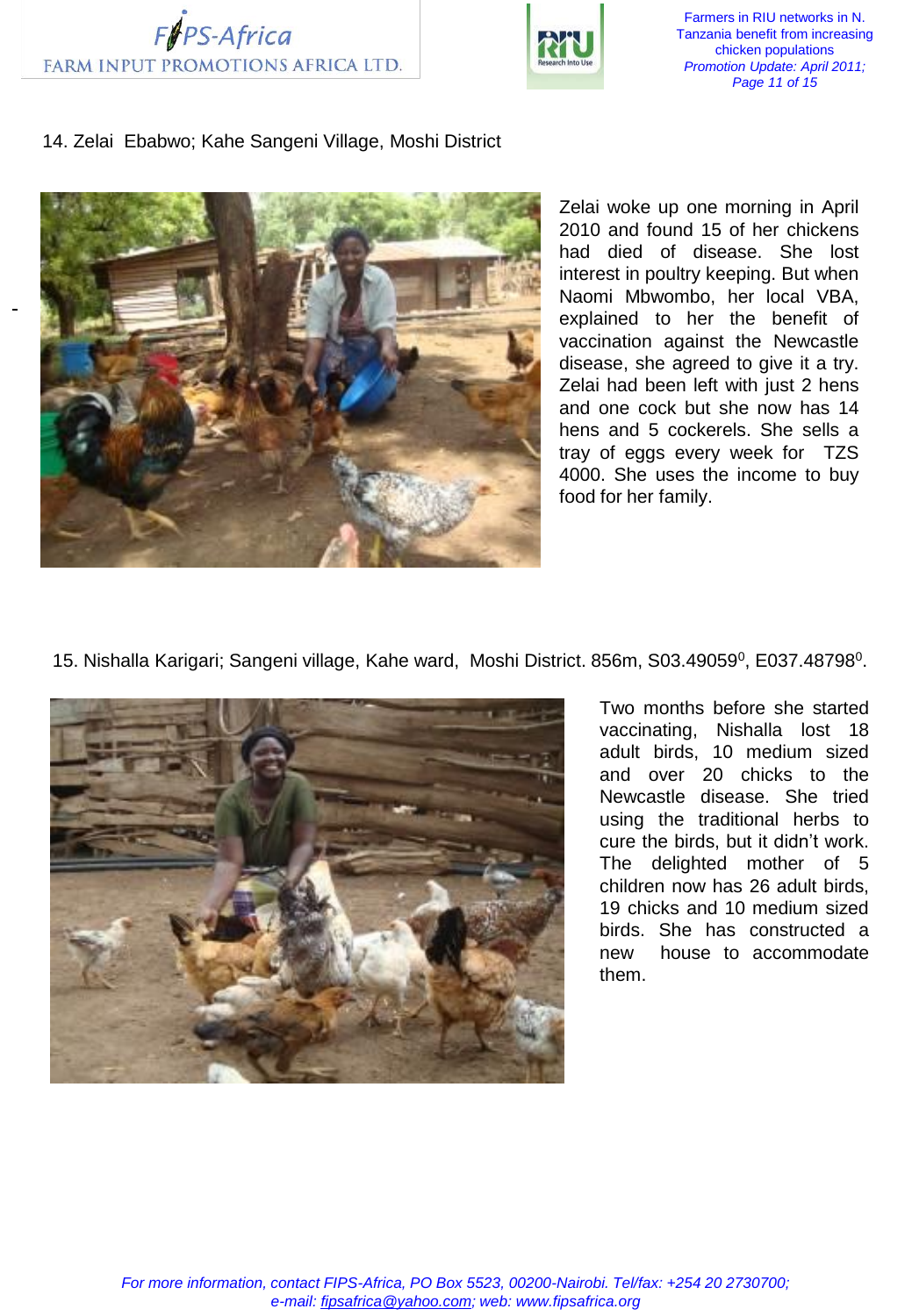



Farmers in RIU networks in N. Tanzania benefit from increasing chicken populations *Promotion Update: April 2011; Page 11 of 15*

## 14. Zelai Ebabwo; Kahe Sangeni Village, Moshi District



Zelai woke up one morning in April 2010 and found 15 of her chickens had died of disease. She lost interest in poultry keeping. But when Naomi Mbwombo, her local VBA, explained to her the benefit of vaccination against the Newcastle disease, she agreed to give it a try. Zelai had been left with just 2 hens and one cock but she now has 14 hens and 5 cockerels. She sells a tray of eggs every week for TZS 4000. She uses the income to buy food for her family.

15. Nishalla Karigari; Sangeni village, Kahe ward, Moshi District. 856m, S03.49059<sup>0</sup>, E037.48798<sup>0</sup>.



Two months before she started vaccinating, Nishalla lost 18 adult birds, 10 medium sized and over 20 chicks to the Newcastle disease. She tried using the traditional herbs to cure the birds, but it didn't work. The delighted mother of 5 children now has 26 adult birds, 19 chicks and 10 medium sized birds. She has constructed a new house to accommodate them.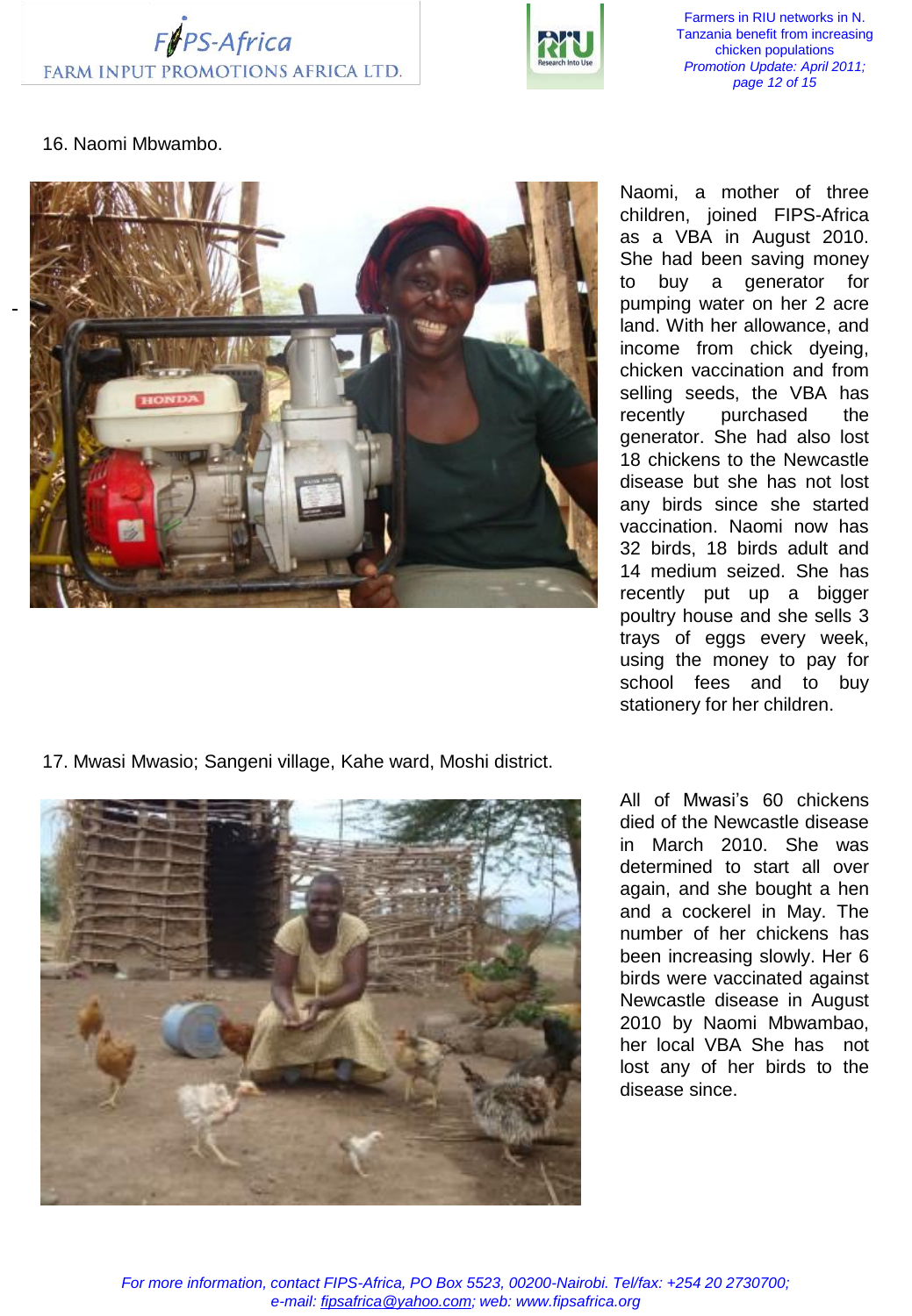



Farmers in RIU networks in N. Tanzania benefit from increasing chicken populations *Promotion Update: April 2011; page 12 of 15*

## 16. Naomi Mbwambo.



17. Mwasi Mwasio; Sangeni village, Kahe ward, Moshi district.



Naomi, a mother of three children, joined FIPS-Africa as a VBA in August 2010. She had been saving money to buy a generator for pumping water on her 2 acre land. With her allowance, and income from chick dyeing, chicken vaccination and from selling seeds, the VBA has recently purchased the generator. She had also lost 18 chickens to the Newcastle disease but she has not lost any birds since she started vaccination. Naomi now has 32 birds, 18 birds adult and 14 medium seized. She has recently put up a bigger poultry house and she sells 3 trays of eggs every week, using the money to pay for school fees and to buy stationery for her children.

All of Mwasi's 60 chickens died of the Newcastle disease in March 2010. She was determined to start all over again, and she bought a hen and a cockerel in May. The number of her chickens has been increasing slowly. Her 6 birds were vaccinated against Newcastle disease in August 2010 by Naomi Mbwambao, her local VBA She has not lost any of her birds to the disease since.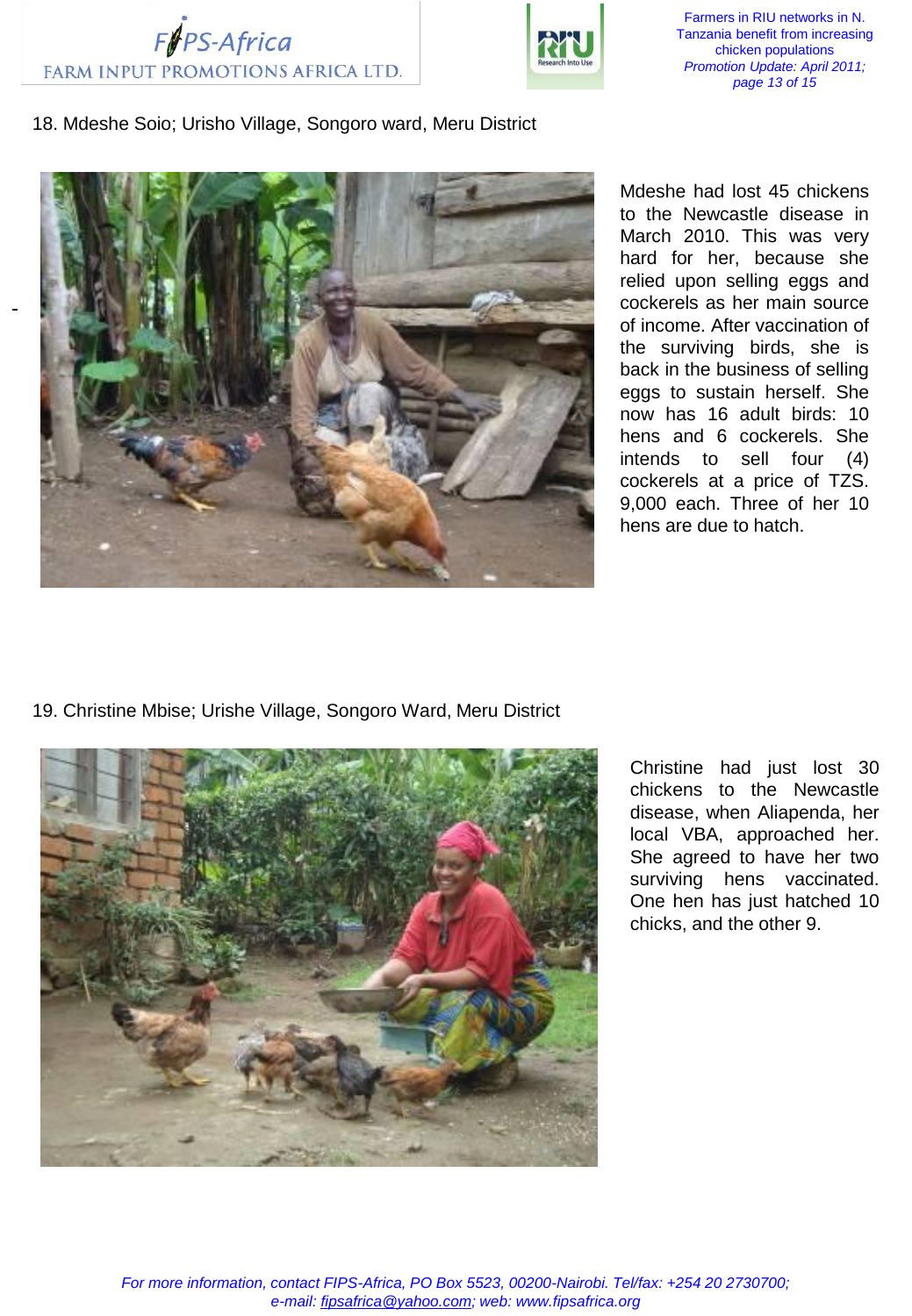



Farmers in RIU networks in N. Tanzania benefit from increasing chicken populations *Promotion Update: April 2011; page 13 of 15*

## 18. Mdeshe Soio; Urisho Village, Songoro ward, Meru District



Mdeshe had lost 45 chickens to the Newcastle disease in March 2010. This was very hard for her, because she relied upon selling eggs and cockerels as her main source of income. After vaccination of the surviving birds, she is back in the business of selling eggs to sustain herself. She now has 16 adult birds: 10 hens and 6 cockerels. She intends to sell four (4) cockerels at a price of TZS. 9,000 each. Three of her 10 hens are due to hatch.

19. Christine Mbise; Urishe Village, Songoro Ward, Meru District



Christine had just lost 30 chickens to the Newcastle disease, when Aliapenda, her local VBA, approached her. She agreed to have her two surviving hens vaccinated. One hen has just hatched 10 chicks, and the other 9.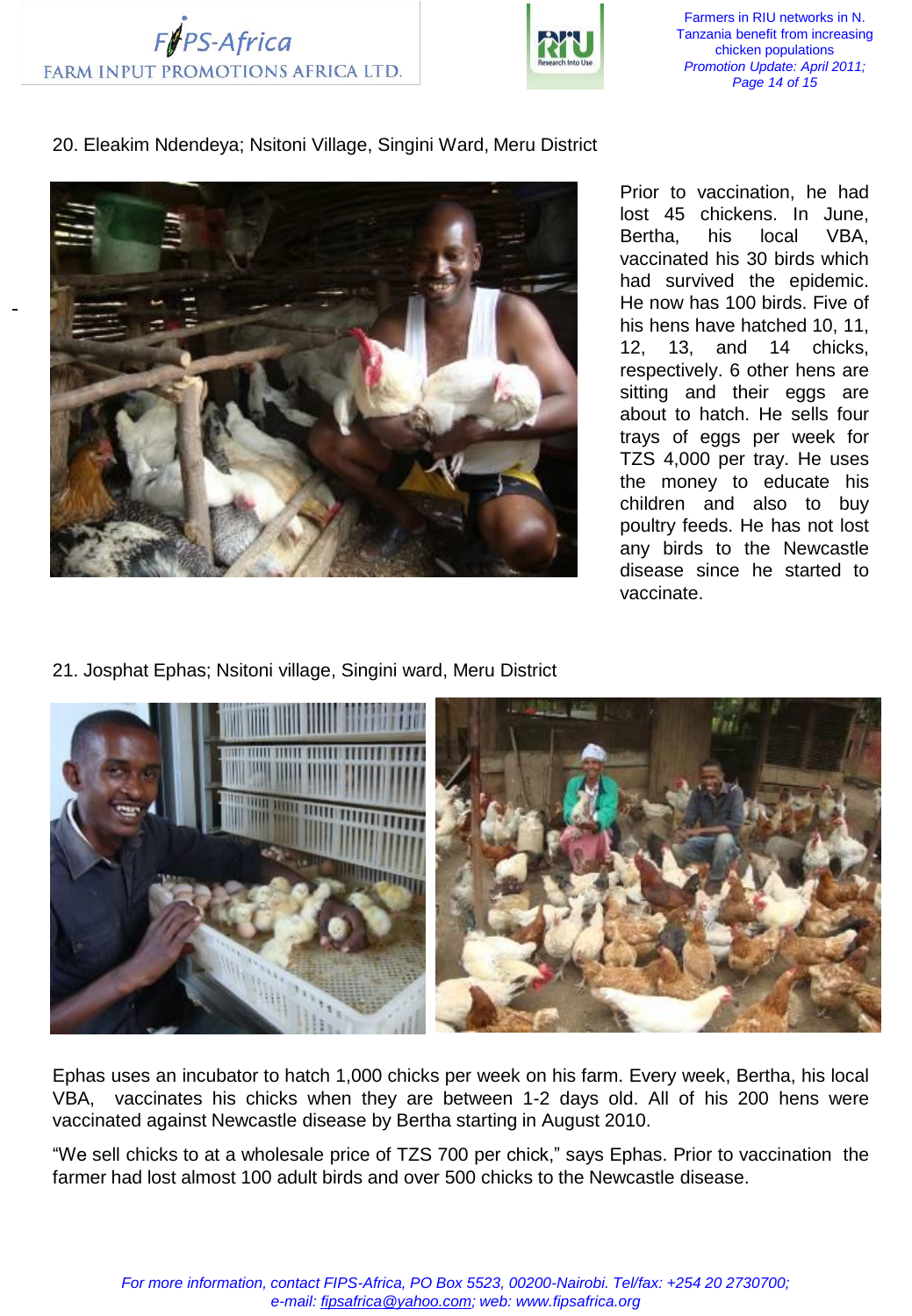



Farmers in RIU networks in N. Tanzania benefit from increasing chicken populations *Promotion Update: April 2011; Page 14 of 15*

20. Eleakim Ndendeya; Nsitoni Village, Singini Ward, Meru District



Prior to vaccination, he had lost 45 chickens. In June, Bertha, his local VBA, vaccinated his 30 birds which had survived the epidemic. He now has 100 birds. Five of his hens have hatched 10, 11, 12, 13, and 14 chicks, respectively. 6 other hens are sitting and their eggs are about to hatch. He sells four trays of eggs per week for TZS 4,000 per tray. He uses the money to educate his children and also to buy poultry feeds. He has not lost any birds to the Newcastle disease since he started to vaccinate.

21. Josphat Ephas; Nsitoni village, Singini ward, Meru District



Ephas uses an incubator to hatch 1,000 chicks per week on his farm. Every week, Bertha, his local VBA, vaccinates his chicks when they are between 1-2 days old. All of his 200 hens were vaccinated against Newcastle disease by Bertha starting in August 2010.

"We sell chicks to at a wholesale price of TZS 700 per chick," says Ephas. Prior to vaccination the farmer had lost almost 100 adult birds and over 500 chicks to the Newcastle disease.